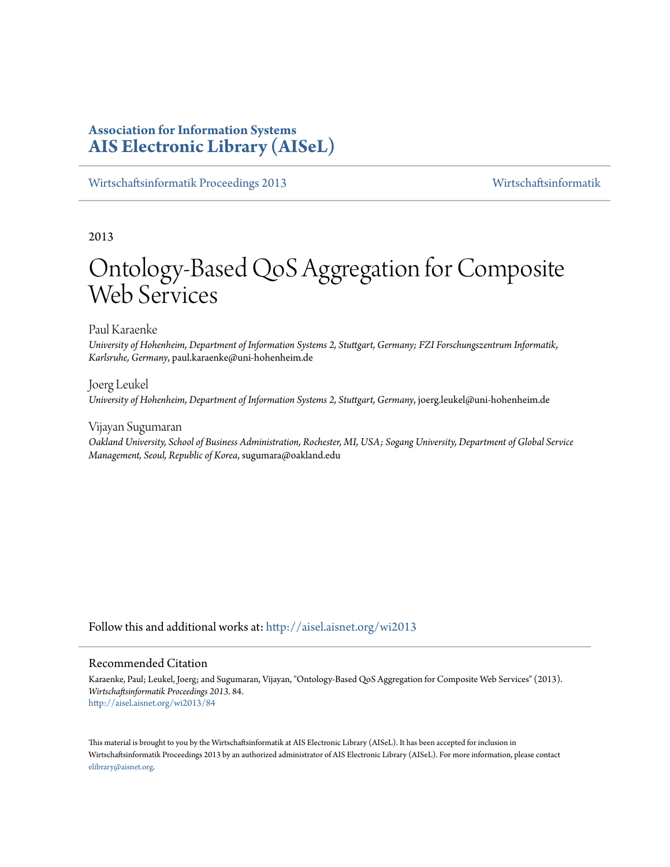# **Association for Information Systems [AIS Electronic Library \(AISeL\)](http://aisel.aisnet.org?utm_source=aisel.aisnet.org%2Fwi2013%2F84&utm_medium=PDF&utm_campaign=PDFCoverPages)**

[Wirtschaftsinformatik Proceedings 2013](http://aisel.aisnet.org/wi2013?utm_source=aisel.aisnet.org%2Fwi2013%2F84&utm_medium=PDF&utm_campaign=PDFCoverPages) [Wirtschaftsinformatik](http://aisel.aisnet.org/wi?utm_source=aisel.aisnet.org%2Fwi2013%2F84&utm_medium=PDF&utm_campaign=PDFCoverPages)

2013

# Ontology-Based QoS Aggregation for Composite Web Services

Paul Karaenke

*University of Hohenheim, Department of Information Systems 2, Stuttgart, Germany; FZI Forschungszentrum Informatik, Karlsruhe, Germany*, paul.karaenke@uni-hohenheim.de

Joerg Leukel *University of Hohenheim, Department of Information Systems 2, Stuttgart, Germany*, joerg.leukel@uni-hohenheim.de

Vijayan Sugumaran *Oakland University, School of Business Administration, Rochester, MI, USA; Sogang University, Department of Global Service Management, Seoul, Republic of Korea*, sugumara@oakland.edu

Follow this and additional works at: [http://aisel.aisnet.org/wi2013](http://aisel.aisnet.org/wi2013?utm_source=aisel.aisnet.org%2Fwi2013%2F84&utm_medium=PDF&utm_campaign=PDFCoverPages)

#### Recommended Citation

Karaenke, Paul; Leukel, Joerg; and Sugumaran, Vijayan, "Ontology-Based QoS Aggregation for Composite Web Services" (2013). *Wirtschaftsinformatik Proceedings 2013*. 84. [http://aisel.aisnet.org/wi2013/84](http://aisel.aisnet.org/wi2013/84?utm_source=aisel.aisnet.org%2Fwi2013%2F84&utm_medium=PDF&utm_campaign=PDFCoverPages)

This material is brought to you by the Wirtschaftsinformatik at AIS Electronic Library (AISeL). It has been accepted for inclusion in Wirtschaftsinformatik Proceedings 2013 by an authorized administrator of AIS Electronic Library (AISeL). For more information, please contact [elibrary@aisnet.org.](mailto:elibrary@aisnet.org%3E)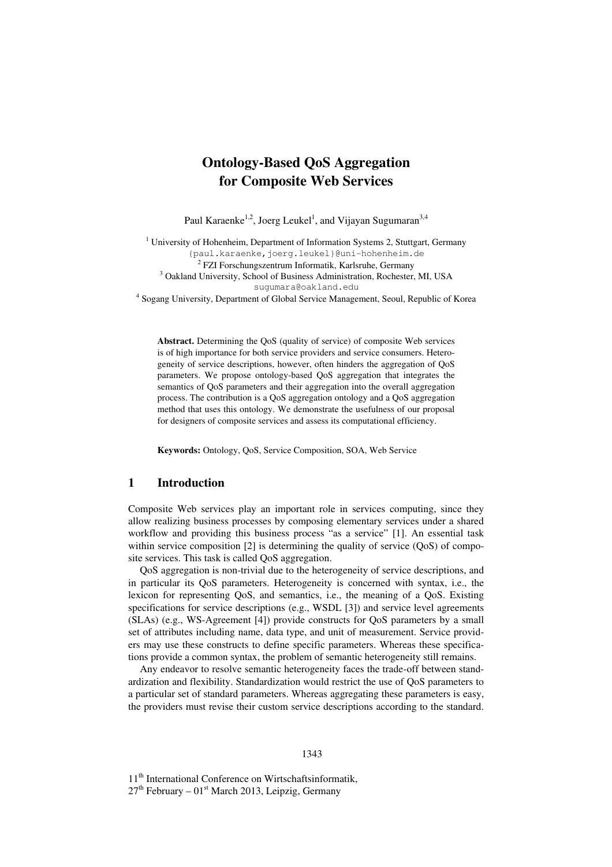# **Ontology-Based QoS Aggregation for Composite Web Services**

Paul Karaenke<sup>1,2</sup>, Joerg Leukel<sup>1</sup>, and Vijayan Sugumaran<sup>3,4</sup>

<sup>1</sup> University of Hohenheim, Department of Information Systems 2, Stuttgart, Germany {paul.karaenke,joerg.leukel}@uni-hohenheim.de <sup>2</sup> FZI Forschungszentrum Informatik, Karlsruhe, Germany <sup>3</sup> Oakland University, School of Business Administration, Rochester, MI, USA sugumara@oakland.edu

<sup>4</sup> Sogang University, Department of Global Service Management, Seoul, Republic of Korea

**Abstract.** Determining the QoS (quality of service) of composite Web services is of high importance for both service providers and service consumers. Heterogeneity of service descriptions, however, often hinders the aggregation of QoS parameters. We propose ontology-based QoS aggregation that integrates the semantics of QoS parameters and their aggregation into the overall aggregation process. The contribution is a QoS aggregation ontology and a QoS aggregation method that uses this ontology. We demonstrate the usefulness of our proposal for designers of composite services and assess its computational efficiency.

**Keywords:** Ontology, QoS, Service Composition, SOA, Web Service

#### **1 Introduction**

Composite Web services play an important role in services computing, since they allow realizing business processes by composing elementary services under a shared workflow and providing this business process "as a service" [1]. An essential task within service composition [2] is determining the quality of service (QoS) of composite services. This task is called QoS aggregation.

QoS aggregation is non-trivial due to the heterogeneity of service descriptions, and in particular its QoS parameters. Heterogeneity is concerned with syntax, i.e., the lexicon for representing QoS, and semantics, i.e., the meaning of a QoS. Existing specifications for service descriptions (e.g., WSDL [3]) and service level agreements (SLAs) (e.g., WS-Agreement [4]) provide constructs for QoS parameters by a small set of attributes including name, data type, and unit of measurement. Service providers may use these constructs to define specific parameters. Whereas these specifications provide a common syntax, the problem of semantic heterogeneity still remains.

Any endeavor to resolve semantic heterogeneity faces the trade-off between standardization and flexibility. Standardization would restrict the use of QoS parameters to a particular set of standard parameters. Whereas aggregating these parameters is easy, the providers must revise their custom service descriptions according to the standard.

11<sup>th</sup> International Conference on Wirtschaftsinformatik,  $27<sup>th</sup>$  February –  $01<sup>st</sup>$  March 2013, Leipzig, Germany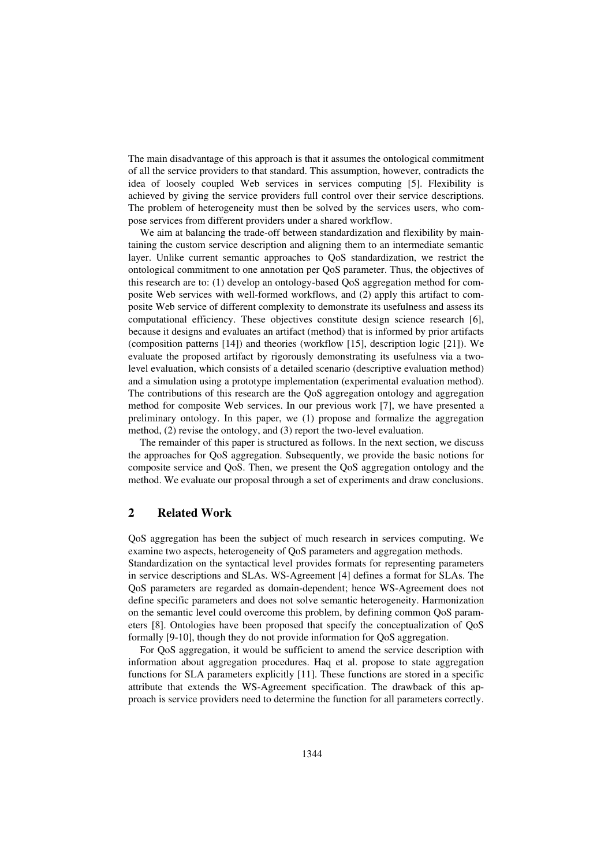The main disadvantage of this approach is that it assumes the ontological commitment of all the service providers to that standard. This assumption, however, contradicts the idea of loosely coupled Web services in services computing [5]. Flexibility is achieved by giving the service providers full control over their service descriptions. The problem of heterogeneity must then be solved by the services users, who compose services from different providers under a shared workflow.

We aim at balancing the trade-off between standardization and flexibility by maintaining the custom service description and aligning them to an intermediate semantic layer. Unlike current semantic approaches to QoS standardization, we restrict the ontological commitment to one annotation per QoS parameter. Thus, the objectives of this research are to: (1) develop an ontology-based QoS aggregation method for composite Web services with well-formed workflows, and (2) apply this artifact to composite Web service of different complexity to demonstrate its usefulness and assess its computational efficiency. These objectives constitute design science research [6], because it designs and evaluates an artifact (method) that is informed by prior artifacts (composition patterns [14]) and theories (workflow [15], description logic [21]). We evaluate the proposed artifact by rigorously demonstrating its usefulness via a twolevel evaluation, which consists of a detailed scenario (descriptive evaluation method) and a simulation using a prototype implementation (experimental evaluation method). The contributions of this research are the QoS aggregation ontology and aggregation method for composite Web services. In our previous work [7], we have presented a preliminary ontology. In this paper, we (1) propose and formalize the aggregation method, (2) revise the ontology, and (3) report the two-level evaluation.

The remainder of this paper is structured as follows. In the next section, we discuss the approaches for QoS aggregation. Subsequently, we provide the basic notions for composite service and QoS. Then, we present the QoS aggregation ontology and the method. We evaluate our proposal through a set of experiments and draw conclusions.

# **2 Related Work**

QoS aggregation has been the subject of much research in services computing. We examine two aspects, heterogeneity of QoS parameters and aggregation methods. Standardization on the syntactical level provides formats for representing parameters in service descriptions and SLAs. WS-Agreement [4] defines a format for SLAs. The QoS parameters are regarded as domain-dependent; hence WS-Agreement does not define specific parameters and does not solve semantic heterogeneity. Harmonization on the semantic level could overcome this problem, by defining common QoS parameters [8]. Ontologies have been proposed that specify the conceptualization of QoS formally [9-10], though they do not provide information for QoS aggregation.

For QoS aggregation, it would be sufficient to amend the service description with information about aggregation procedures. Haq et al. propose to state aggregation functions for SLA parameters explicitly [11]. These functions are stored in a specific attribute that extends the WS-Agreement specification. The drawback of this approach is service providers need to determine the function for all parameters correctly.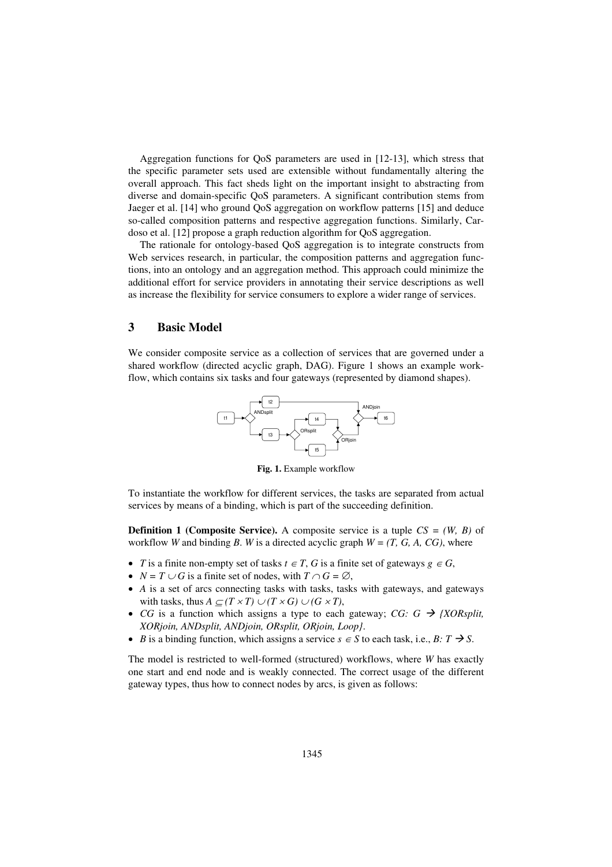Aggregation functions for QoS parameters are used in [12-13], which stress that the specific parameter sets used are extensible without fundamentally altering the overall approach. This fact sheds light on the important insight to abstracting from diverse and domain-specific QoS parameters. A significant contribution stems from Jaeger et al. [14] who ground QoS aggregation on workflow patterns [15] and deduce so-called composition patterns and respective aggregation functions. Similarly, Cardoso et al. [12] propose a graph reduction algorithm for QoS aggregation.

The rationale for ontology-based QoS aggregation is to integrate constructs from Web services research, in particular, the composition patterns and aggregation functions, into an ontology and an aggregation method. This approach could minimize the additional effort for service providers in annotating their service descriptions as well as increase the flexibility for service consumers to explore a wider range of services.

## **3 Basic Model**

We consider composite service as a collection of services that are governed under a shared workflow (directed acyclic graph, DAG). Figure 1 shows an example workflow, which contains six tasks and four gateways (represented by diamond shapes).



**Fig. 1.** Example workflow

To instantiate the workflow for different services, the tasks are separated from actual services by means of a binding, which is part of the succeeding definition.

**Definition 1 (Composite Service).** A composite service is a tuple *CS = (W, B)* of workflow *W* and binding *B*. *W* is a directed acyclic graph  $W = (T, G, A, CG)$ , where

- *T* is a finite non-empty set of tasks  $t \in T$ , *G* is a finite set of gateways  $g \in G$ ,
- $N = T \cup G$  is a finite set of nodes, with  $T \cap G = \emptyset$ ,
- *A* is a set of arcs connecting tasks with tasks, tasks with gateways, and gateways with tasks, thus  $A \subseteq (T \times T) \cup (T \times G) \cup (G \times T)$ ,
- *CG* is a function which assigns a type to each gateway; *CG: G*  $\rightarrow$  *{XORsplit, XORjoin, ANDsplit, ANDjoin, ORsplit, ORjoin, Loop}*.
- *B* is a binding function, which assigns a service  $s \in S$  to each task, i.e.,  $B: T \rightarrow S$ .

The model is restricted to well-formed (structured) workflows, where *W* has exactly one start and end node and is weakly connected. The correct usage of the different gateway types, thus how to connect nodes by arcs, is given as follows: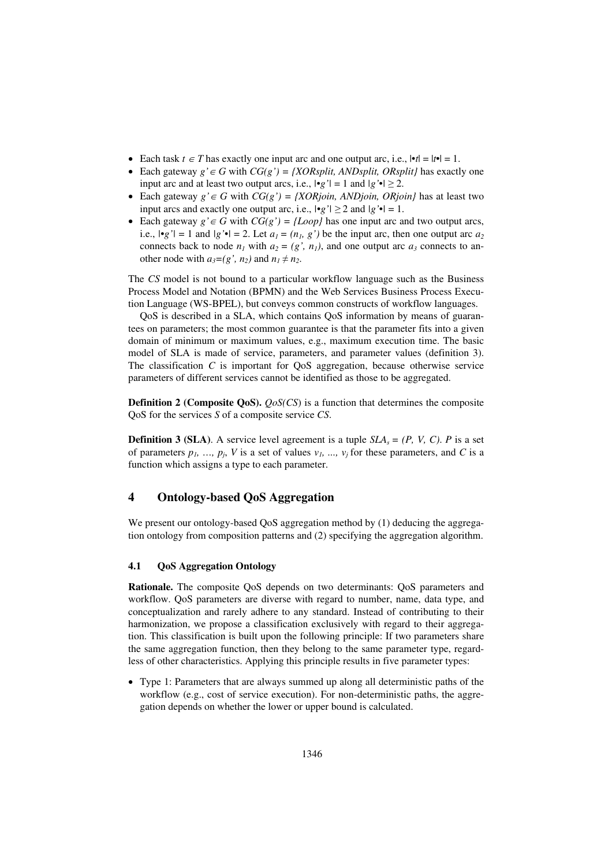- Each task  $t \in T$  has exactly one input arc and one output arc, i.e.,  $|\cdot t| = |t| = 1$ .
- Each gateway  $g' \in G$  with  $CG(g') = \{XORsplit, ANDsplit, ORsplit\}$  has exactly one input arc and at least two output arcs, i.e.,  $|\bullet g'| = 1$  and  $|g' \bullet| \ge 2$ .
- Each gateway  $g' \in G$  with  $CG(g') = \{XORjoin, ANDjoin, ORjoin\}$  has at least two input arcs and exactly one output arc, i.e.,  $|\cdot g'| \ge 2$  and  $|g' \cdot| = 1$ .
- Each gateway  $g' \in G$  with  $CG(g') = \{Loop\}$  has one input arc and two output arcs, i.e.,  $|\cdot g'| = 1$  and  $|g' \cdot| = 2$ . Let  $a_1 = (n_1, g')$  be the input arc, then one output arc  $a_2$ connects back to node  $n_1$  with  $a_2 = (g', n_1)$ , and one output arc  $a_3$  connects to another node with  $a_3 = (g', n_2)$  and  $n_1 \neq n_2$ .

The *CS* model is not bound to a particular workflow language such as the Business Process Model and Notation (BPMN) and the Web Services Business Process Execution Language (WS-BPEL), but conveys common constructs of workflow languages.

QoS is described in a SLA, which contains QoS information by means of guarantees on parameters; the most common guarantee is that the parameter fits into a given domain of minimum or maximum values, e.g., maximum execution time. The basic model of SLA is made of service, parameters, and parameter values (definition 3). The classification *C* is important for QoS aggregation, because otherwise service parameters of different services cannot be identified as those to be aggregated.

**Definition 2 (Composite QoS).** *QoS(CS)* is a function that determines the composite QoS for the services *S* of a composite service *CS*.

**Definition 3 (SLA)**. A service level agreement is a tuple  $SLA<sub>s</sub> = (P, V, C)$ . *P* is a set of parameters  $p_1$ , ...,  $p_j$ , *V* is a set of values  $v_1$ , ...,  $v_j$  for these parameters, and *C* is a function which assigns a type to each parameter.

# **4 Ontology-based QoS Aggregation**

We present our ontology-based QoS aggregation method by (1) deducing the aggregation ontology from composition patterns and (2) specifying the aggregation algorithm.

#### **4.1 QoS Aggregation Ontology**

**Rationale.** The composite QoS depends on two determinants: QoS parameters and workflow. QoS parameters are diverse with regard to number, name, data type, and conceptualization and rarely adhere to any standard. Instead of contributing to their harmonization, we propose a classification exclusively with regard to their aggregation. This classification is built upon the following principle: If two parameters share the same aggregation function, then they belong to the same parameter type, regardless of other characteristics. Applying this principle results in five parameter types:

 Type 1: Parameters that are always summed up along all deterministic paths of the workflow (e.g., cost of service execution). For non-deterministic paths, the aggregation depends on whether the lower or upper bound is calculated.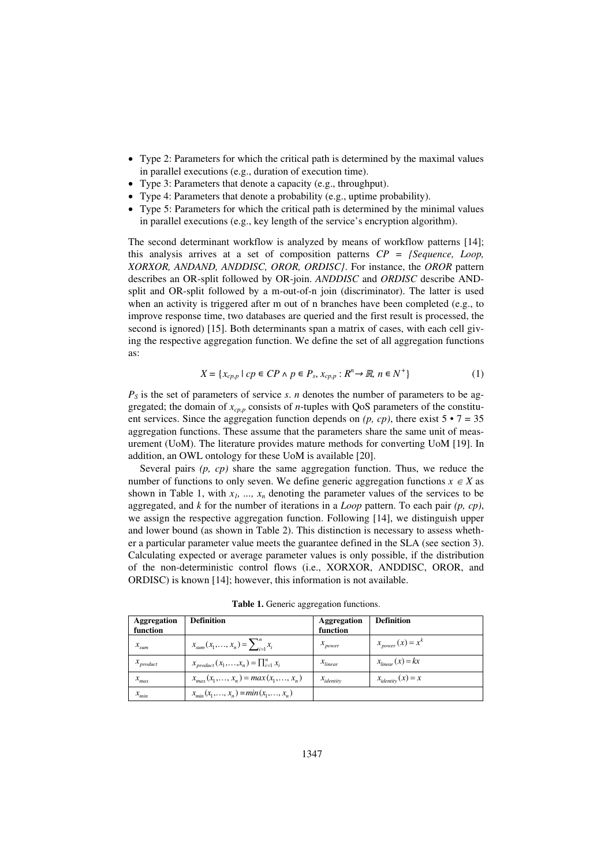- Type 2: Parameters for which the critical path is determined by the maximal values in parallel executions (e.g., duration of execution time).
- Type 3: Parameters that denote a capacity (e.g., throughput).
- Type 4: Parameters that denote a probability (e.g., uptime probability).
- Type 5: Parameters for which the critical path is determined by the minimal values in parallel executions (e.g., key length of the service's encryption algorithm).

The second determinant workflow is analyzed by means of workflow patterns [14]; this analysis arrives at a set of composition patterns *CP = {Sequence, Loop, XORXOR, ANDAND, ANDDISC, OROR, ORDISC}*. For instance, the *OROR* pattern describes an OR-split followed by OR-join. *ANDDISC* and *ORDISC* describe ANDsplit and OR-split followed by a m-out-of-n join (discriminator). The latter is used when an activity is triggered after m out of n branches have been completed (e.g., to improve response time, two databases are queried and the first result is processed, the second is ignored) [15]. Both determinants span a matrix of cases, with each cell giving the respective aggregation function. We define the set of all aggregation functions as:

$$
X = \{x_{cp,p} \mid cp \in CP \land p \in P_s, x_{cp,p} : R^n \to \mathbb{R}, n \in N^+\}\
$$
 (1)

 $P<sub>S</sub>$  is the set of parameters of service *s*. *n* denotes the number of parameters to be aggregated; the domain of *xcp,p* consists of *n*-tuples with QoS parameters of the constituent services. Since the aggregation function depends on  $(p, cp)$ , there exist  $5 \cdot 7 = 35$ aggregation functions. These assume that the parameters share the same unit of measurement (UoM). The literature provides mature methods for converting UoM [19]. In addition, an OWL ontology for these UoM is available [20].

Several pairs *(p, cp)* share the same aggregation function. Thus, we reduce the number of functions to only seven. We define generic aggregation functions  $x \in X$  as shown in Table 1, with  $x_1$ , ...,  $x_n$  denoting the parameter values of the services to be aggregated, and *k* for the number of iterations in a *Loop* pattern. To each pair *(p, cp)*, we assign the respective aggregation function. Following [14], we distinguish upper and lower bound (as shown in Table 2). This distinction is necessary to assess whether a particular parameter value meets the guarantee defined in the SLA (see section 3). Calculating expected or average parameter values is only possible, if the distribution of the non-deterministic control flows (i.e., XORXOR, ANDDISC, OROR, and ORDISC) is known [14]; however, this information is not available.

| <b>Aggregation</b><br>function | <b>Definition</b>                         | <b>Aggregation</b><br>function | <b>Definition</b>      |
|--------------------------------|-------------------------------------------|--------------------------------|------------------------|
| $x_{sum}$                      | $x_{sum}(x_1,,x_n) = \sum_{i=1}^n x_i$    | $x_{power}$                    | $x_{power}(x) = x^{k}$ |
| $x_{product}$                  | $x_{product}(x_1,,x_n)=\prod_{i=1}^n x_i$ | $x_{linear}$                   | $x_{linear}(x) = kx$   |
| $x_{max}$                      | $x_{max}(x_1,,x_n) = max(x_1,,x_n)$       | $x_{identity}$                 | $x_{identity}(x) = x$  |
| $x_{min}$                      | $x_{\min}(x_1,,x_n) = min(x_1,,x_n)$      |                                |                        |

**Table 1.** Generic aggregation functions.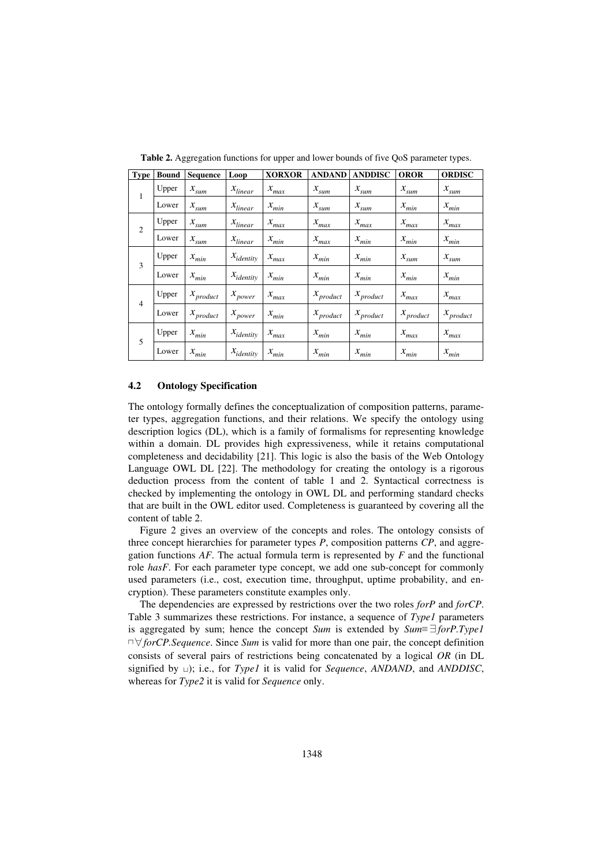| <b>Type</b>    | <b>Bound</b> | <b>Sequence</b>            | Loop           | <b>XORXOR</b> | <b>ANDAND</b>          | <b>ANDDISC</b> | <b>OROR</b>                | <b>ORDISC</b>          |
|----------------|--------------|----------------------------|----------------|---------------|------------------------|----------------|----------------------------|------------------------|
| 1              | Upper        | $x_{sum}$                  | $x_{linear}$   | $x_{max}$     | $x_{\rm sum}$          | $x_{sum}$      | $x_{sum}$                  | $x_{sum}$              |
|                | Lower        | $x_{sum}$                  | $x_{linear}$   | $x_{\min}$    | $x_{sum}$              | $x_{sum}$      | $x_{min}$                  | $x_{min}$              |
| 2              | Upper        | $x_{sum}$                  | $x_{linear}$   | $x_{max}$     | $x_{max}$              | $x_{max}$      | $x_{max}$                  | $x_{max}$              |
|                | Lower        | $x_{sum}$                  | $x_{linear}$   | $x_{\min}$    | $x_{max}$              | $x_{min}$      | $x_{\min}$                 | $x_{\min}$             |
| 3              | Upper        | $x_{\min}$                 | $x_{identity}$ | $x_{\max}$    | $x_{min}$              | $x_{min}$      | $x_{sum}$                  | $x_{sum}$              |
|                | Lower        | $x_{\min}$                 | $x_{identity}$ | $x_{min}$     | $x_{min}$              | $x_{min}$      | $x_{min}$                  | $x_{min}$              |
|                | Upper        | $x_{product}$              | $x_{power}$    | $x_{\max}$    | $x_{product}$          | $x_{product}$  | $x_{\max}$                 | $x_{max}$              |
| $\overline{4}$ | Lower        | $\boldsymbol{x}_{product}$ | $x_{power}$    | $x_{min}$     | $x$ <sub>product</sub> | $x_{product}$  | $\boldsymbol{x}_{product}$ | $x$ <sub>product</sub> |
| 5              | Upper        | $x_{min}$                  | $x_{identity}$ | $x_{max}$     | $x_{min}$              | $x_{min}$      | $x_{max}$                  | $x_{max}$              |
|                | Lower        | $x_{min}$                  | $x_{identity}$ | $x_{min}$     | $x_{\min}$             | $x_{min}$      | $x_{min}$                  | $x_{min}$              |

**Table 2.** Aggregation functions for upper and lower bounds of five QoS parameter types.

#### **4.2 Ontology Specification**

The ontology formally defines the conceptualization of composition patterns, parameter types, aggregation functions, and their relations. We specify the ontology using description logics (DL), which is a family of formalisms for representing knowledge within a domain. DL provides high expressiveness, while it retains computational completeness and decidability [21]. This logic is also the basis of the Web Ontology Language OWL DL [22]. The methodology for creating the ontology is a rigorous deduction process from the content of table 1 and 2. Syntactical correctness is checked by implementing the ontology in OWL DL and performing standard checks that are built in the OWL editor used. Completeness is guaranteed by covering all the content of table 2.

Figure 2 gives an overview of the concepts and roles. The ontology consists of three concept hierarchies for parameter types *P*, composition patterns *CP*, and aggregation functions *AF*. The actual formula term is represented by *F* and the functional role *hasF*. For each parameter type concept, we add one sub-concept for commonly used parameters (i.e., cost, execution time, throughput, uptime probability, and encryption). These parameters constitute examples only.

The dependencies are expressed by restrictions over the two roles *forP* and *forCP*. Table 3 summarizes these restrictions. For instance, a sequence of *Type1* parameters is aggregated by sum; hence the concept *Sum* is extended by  $Sum \equiv \exists for P. Type I$  $\Box \forall$  *forCP.Sequence.* Since *Sum* is valid for more than one pair, the concept definition consists of several pairs of restrictions being concatenated by a logical *OR* (in DL signified by 寡); i.e., for *Type1* it is valid for *Sequence*, *ANDAND*, and *ANDDISC*, whereas for *Type2* it is valid for *Sequence* only.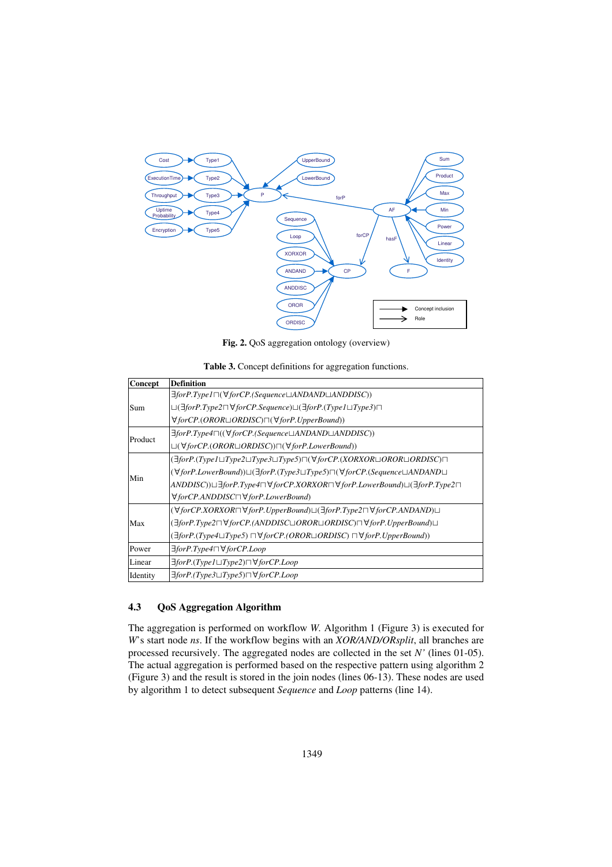

**Fig. 2.** QoS aggregation ontology (overview)

| Table 3. Concept definitions for aggregation functions. |  |
|---------------------------------------------------------|--|
|---------------------------------------------------------|--|

| Concept  | <b>Definition</b>                                                                                                                           |
|----------|---------------------------------------------------------------------------------------------------------------------------------------------|
|          | $\exists for P. Type 1 \sqcap (\forall for CP. (Sequence \sqcup ANDAND \sqcup ANDDISC))$                                                    |
| Sum      | $\Box(\exists for P. Type2 \Box \forall for CP. Sequence) \Box(\exists for P. (Type1 \Box Type3) \Box$                                      |
|          | $\forall$ for CP.(OROR $\sqcup$ ORDISC) $\neg(\forall$ for P. Upper Bound))                                                                 |
|          | ∃forP.Type4 $\sqcap$ ((∀forCP.(Sequence⊔ANDAND $\sqcup$ ANDDISC))                                                                           |
| Product  | $\Box(\forall for CP. (OROR \Box ORDISC))\Box(\forall for P. LowerBound))$                                                                  |
|          | $(\exists for P. (Type I \sqcup Type2 \sqcup Type3 \sqcup Type5) \sqcap (\forall for CP. (XORXOR \sqcup OROR \sqcup ORDISC) \sqcap$         |
|          | $(\forall for P. LowerBound) \sqcup (\exists for P. (Type 3 \sqcup Type 5) \sqcap (\forall for CP. (Sequence \sqcup ANDAND \sqcup$          |
| Min      | $ANDDISC) \sqcup \exists for P. Type 4 \sqcap \forall for CP.XORXOR \sqcap \forall for P. LowerBound) \sqcup (\exists for P. Type 2 \sqcap$ |
|          | $\forall$ for CP.ANDDISC $\neg \forall$ for P.Lower Bound)                                                                                  |
|          | $(\forall for CP.XORXOR \sqcap \forall for P. UpperBound) \sqcup (\exists for P. Type 2 \sqcap \forall for CP. ANDAND) \sqcup$              |
| Max      | $(\exists for P. Type2 \sqcap \forall for CP. (ANDDISC \sqcup OROR \sqcup ORDISC) \sqcap \forall for P. UpperBound) \sqcup$                 |
|          | $(\exists for P. (Type 4 \sqcup Type 5) \sqcap \forall for CP. (OROR \sqcup ORDISC) \sqcap \forall for P. UpperBound)$                      |
| Power    | $\exists$ for P.Type4 $\sqcap \forall$ for CP.Loop                                                                                          |
| Linear   | $\exists$ forP.(Type1 $\sqcup$ Type2) $\sqcap \forall$ forCP.Loop                                                                           |
| Identity | $\exists$ for P.(Type3 $\sqcup$ Type5) $\sqcap \forall$ for CP.Loop                                                                         |

#### **4.3 QoS Aggregation Algorithm**

The aggregation is performed on workflow *W.* Algorithm 1 (Figure 3) is executed for *W*'s start node *ns*. If the workflow begins with an *XOR/AND/ORsplit*, all branches are processed recursively. The aggregated nodes are collected in the set *N'* (lines 01-05). The actual aggregation is performed based on the respective pattern using algorithm 2 (Figure 3) and the result is stored in the join nodes (lines 06-13). These nodes are used by algorithm 1 to detect subsequent *Sequence* and *Loop* patterns (line 14).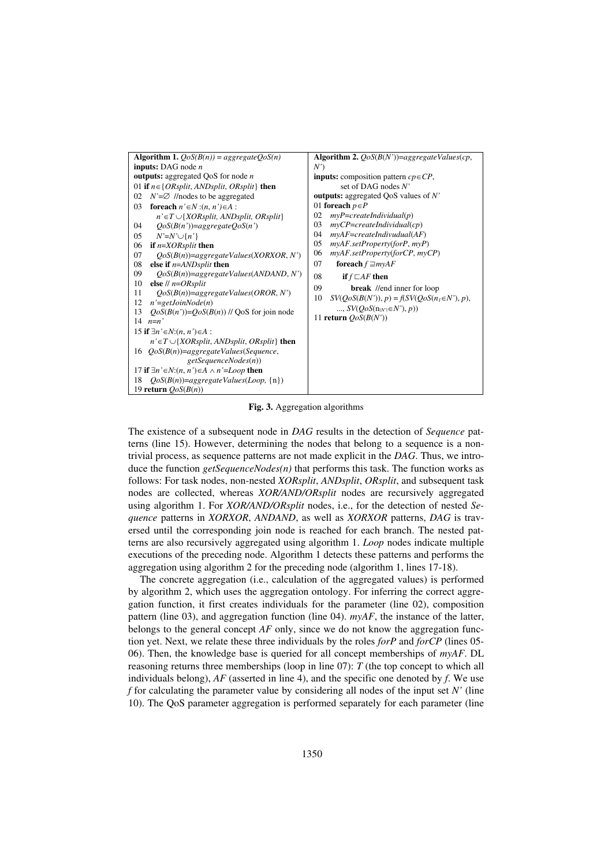

**Fig. 3.** Aggregation algorithms

The existence of a subsequent node in *DAG* results in the detection of *Sequence* patterns (line 15). However, determining the nodes that belong to a sequence is a nontrivial process, as sequence patterns are not made explicit in the *DAG*. Thus, we introduce the function *getSequenceNodes(n)* that performs this task. The function works as follows: For task nodes, non-nested *XORsplit*, *ANDsplit*, *ORsplit*, and subsequent task nodes are collected, whereas *XOR/AND/ORsplit* nodes are recursively aggregated using algorithm 1. For *XOR/AND/ORsplit* nodes, i.e., for the detection of nested *Sequence* patterns in *XORXOR*, *ANDAND*, as well as *XORXOR* patterns, *DAG* is traversed until the corresponding join node is reached for each branch. The nested patterns are also recursively aggregated using algorithm 1. *Loop* nodes indicate multiple executions of the preceding node. Algorithm 1 detects these patterns and performs the aggregation using algorithm 2 for the preceding node (algorithm 1, lines 17-18).

The concrete aggregation (i.e., calculation of the aggregated values) is performed by algorithm 2, which uses the aggregation ontology. For inferring the correct aggregation function, it first creates individuals for the parameter (line 02), composition pattern (line 03), and aggregation function (line 04). *myAF*, the instance of the latter, belongs to the general concept *AF* only, since we do not know the aggregation function yet. Next, we relate these three individuals by the roles *forP* and *forCP* (lines 05- 06). Then, the knowledge base is queried for all concept memberships of *myAF*. DL reasoning returns three memberships (loop in line 07): *T* (the top concept to which all individuals belong), *AF* (asserted in line 4), and the specific one denoted by *f*. We use *f* for calculating the parameter value by considering all nodes of the input set *N'* (line 10). The QoS parameter aggregation is performed separately for each parameter (line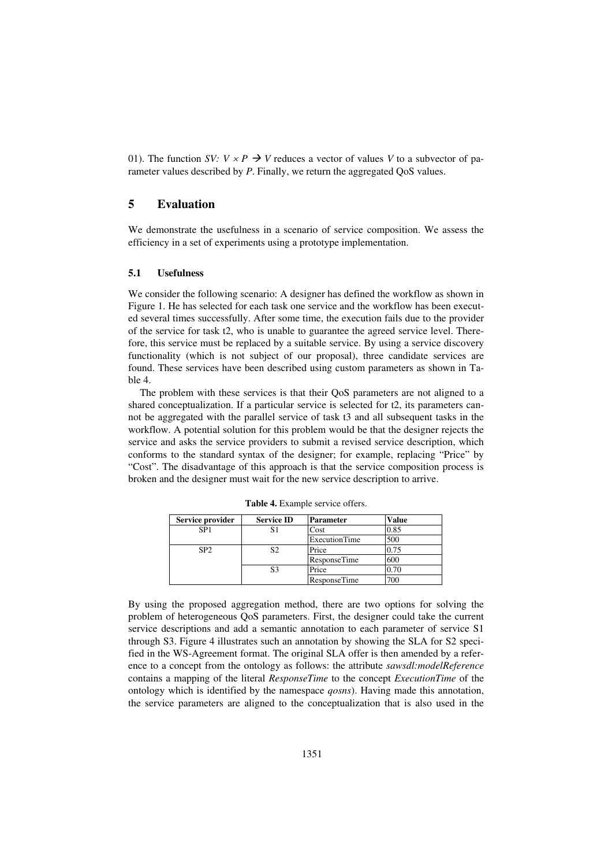01). The function *SV:*  $V \times P \rightarrow V$  reduces a vector of values *V* to a subvector of parameter values described by *P*. Finally, we return the aggregated QoS values.

# **5 Evaluation**

We demonstrate the usefulness in a scenario of service composition. We assess the efficiency in a set of experiments using a prototype implementation.

#### **5.1 Usefulness**

We consider the following scenario: A designer has defined the workflow as shown in Figure 1. He has selected for each task one service and the workflow has been executed several times successfully. After some time, the execution fails due to the provider of the service for task t2, who is unable to guarantee the agreed service level. Therefore, this service must be replaced by a suitable service. By using a service discovery functionality (which is not subject of our proposal), three candidate services are found. These services have been described using custom parameters as shown in Table 4.

The problem with these services is that their QoS parameters are not aligned to a shared conceptualization. If a particular service is selected for t2, its parameters cannot be aggregated with the parallel service of task t3 and all subsequent tasks in the workflow. A potential solution for this problem would be that the designer rejects the service and asks the service providers to submit a revised service description, which conforms to the standard syntax of the designer; for example, replacing "Price" by "Cost". The disadvantage of this approach is that the service composition process is broken and the designer must wait for the new service description to arrive.

| Service provider | <b>Service ID</b> | <b>Parameter</b> | Value |
|------------------|-------------------|------------------|-------|
| SP <sub>1</sub>  | S1                | Cost             | 0.85  |
|                  |                   | ExecutionTime    | 500   |
| SP <sub>2</sub>  |                   | Price            | 0.75  |
|                  |                   | ResponseTime     | 600   |
|                  | S3                | Price            | 0.70  |
|                  |                   | ResponseTime     | 700   |

**Table 4.** Example service offers.

By using the proposed aggregation method, there are two options for solving the problem of heterogeneous QoS parameters. First, the designer could take the current service descriptions and add a semantic annotation to each parameter of service S1 through S3. Figure 4 illustrates such an annotation by showing the SLA for S2 specified in the WS-Agreement format. The original SLA offer is then amended by a reference to a concept from the ontology as follows: the attribute *sawsdl:modelReference* contains a mapping of the literal *ResponseTime* to the concept *ExecutionTime* of the ontology which is identified by the namespace *qosns*). Having made this annotation, the service parameters are aligned to the conceptualization that is also used in the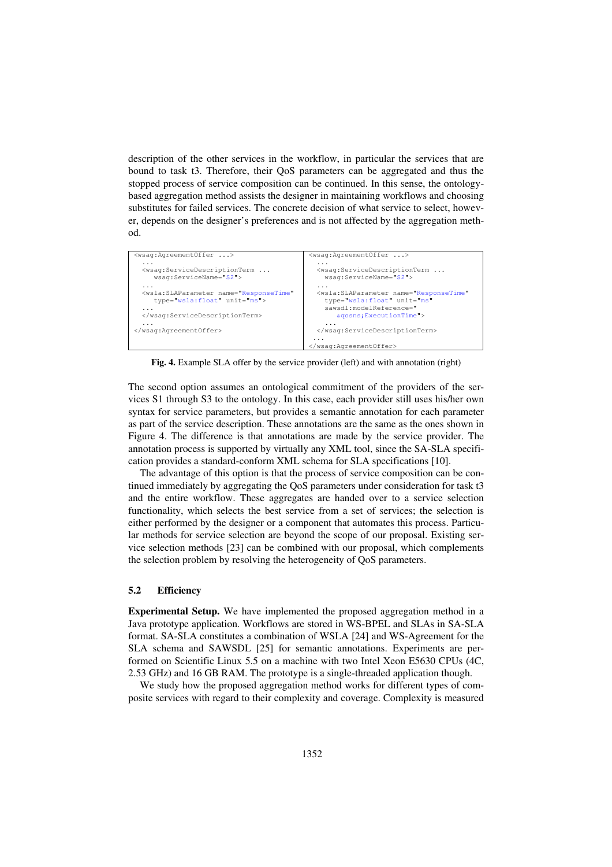description of the other services in the workflow, in particular the services that are bound to task t3. Therefore, their QoS parameters can be aggregated and thus the stopped process of service composition can be continued. In this sense, the ontologybased aggregation method assists the designer in maintaining workflows and choosing substitutes for failed services. The concrete decision of what service to select, however, depends on the designer's preferences and is not affected by the aggregation method.



**Fig. 4.** Example SLA offer by the service provider (left) and with annotation (right)

The second option assumes an ontological commitment of the providers of the services S1 through S3 to the ontology. In this case, each provider still uses his/her own syntax for service parameters, but provides a semantic annotation for each parameter as part of the service description. These annotations are the same as the ones shown in Figure 4. The difference is that annotations are made by the service provider. The annotation process is supported by virtually any XML tool, since the SA-SLA specification provides a standard-conform XML schema for SLA specifications [10].

The advantage of this option is that the process of service composition can be continued immediately by aggregating the QoS parameters under consideration for task t3 and the entire workflow. These aggregates are handed over to a service selection functionality, which selects the best service from a set of services; the selection is either performed by the designer or a component that automates this process. Particular methods for service selection are beyond the scope of our proposal. Existing service selection methods [23] can be combined with our proposal, which complements the selection problem by resolving the heterogeneity of QoS parameters.

#### **5.2 Efficiency**

**Experimental Setup.** We have implemented the proposed aggregation method in a Java prototype application. Workflows are stored in WS-BPEL and SLAs in SA-SLA format. SA-SLA constitutes a combination of WSLA [24] and WS-Agreement for the SLA schema and SAWSDL [25] for semantic annotations. Experiments are performed on Scientific Linux 5.5 on a machine with two Intel Xeon E5630 CPUs (4C, 2.53 GHz) and 16 GB RAM. The prototype is a single-threaded application though.

We study how the proposed aggregation method works for different types of composite services with regard to their complexity and coverage. Complexity is measured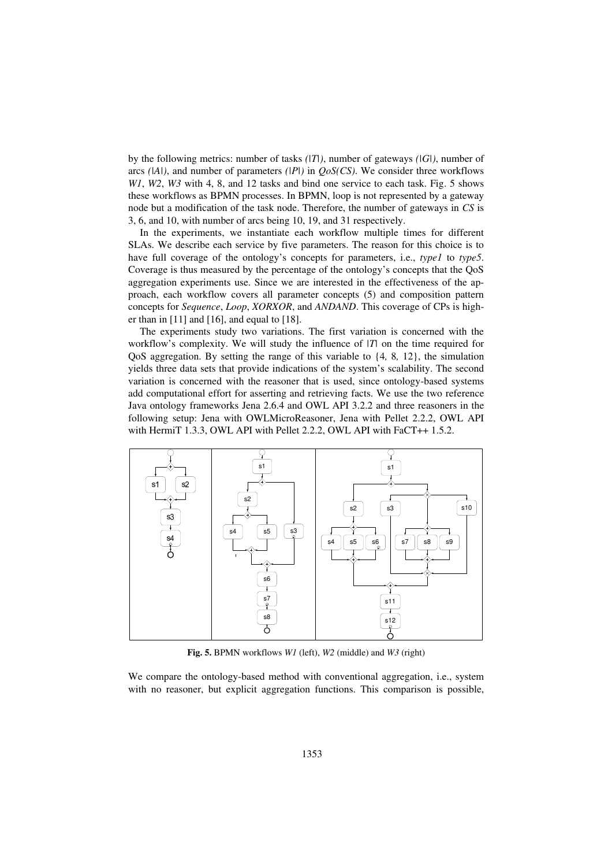by the following metrics: number of tasks *(|T|)*, number of gateways *(|G|)*, number of arcs *(|A|)*, and number of parameters *(|P|)* in *QoS(CS)*. We consider three workflows *W1*, *W2*, *W3* with 4, 8, and 12 tasks and bind one service to each task. Fig. 5 shows these workflows as BPMN processes. In BPMN, loop is not represented by a gateway node but a modification of the task node. Therefore, the number of gateways in *CS* is 3, 6, and 10, with number of arcs being 10, 19, and 31 respectively.

In the experiments, we instantiate each workflow multiple times for different SLAs. We describe each service by five parameters. The reason for this choice is to have full coverage of the ontology's concepts for parameters, i.e., *type1* to *type5*. Coverage is thus measured by the percentage of the ontology's concepts that the QoS aggregation experiments use. Since we are interested in the effectiveness of the approach, each workflow covers all parameter concepts (5) and composition pattern concepts for *Sequence*, *Loop*, *XORXOR*, and *ANDAND*. This coverage of CPs is higher than in  $[11]$  and  $[16]$ , and equal to  $[18]$ .

The experiments study two variations. The first variation is concerned with the workflow's complexity. We will study the influence of *|T|* on the time required for QoS aggregation. By setting the range of this variable to {4*,* 8*,* 12}, the simulation yields three data sets that provide indications of the system's scalability. The second variation is concerned with the reasoner that is used, since ontology-based systems add computational effort for asserting and retrieving facts. We use the two reference Java ontology frameworks Jena 2.6.4 and OWL API 3.2.2 and three reasoners in the following setup: Jena with OWLMicroReasoner, Jena with Pellet 2.2.2, OWL API with HermiT 1.3.3, OWL API with Pellet 2.2.2, OWL API with FaCT++ 1.5.2.



**Fig. 5.** BPMN workflows *W1* (left), *W2* (middle) and *W3* (right)

We compare the ontology-based method with conventional aggregation, i.e., system with no reasoner, but explicit aggregation functions. This comparison is possible,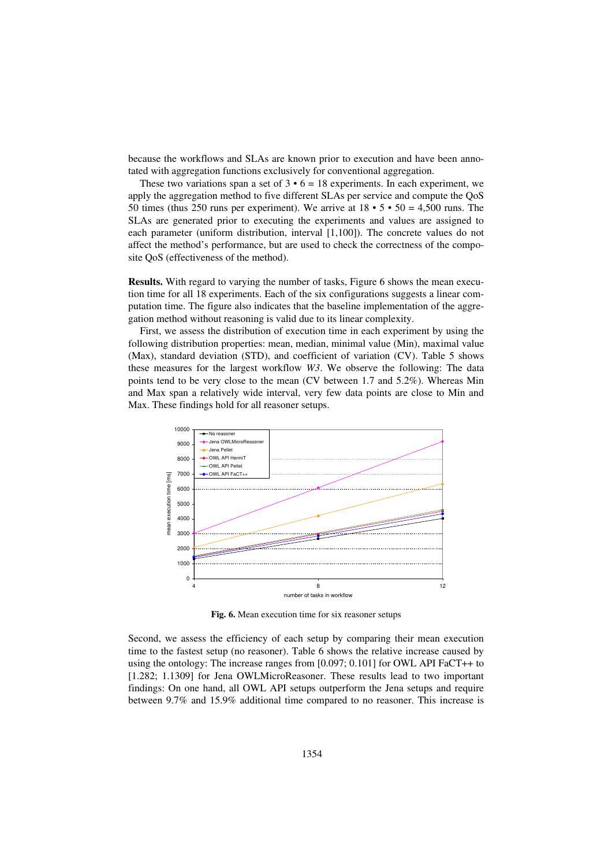because the workflows and SLAs are known prior to execution and have been annotated with aggregation functions exclusively for conventional aggregation.

These two variations span a set of  $3 \cdot 6 = 18$  experiments. In each experiment, we apply the aggregation method to five different SLAs per service and compute the QoS 50 times (thus 250 runs per experiment). We arrive at  $18 \cdot 5 \cdot 50 = 4,500$  runs. The SLAs are generated prior to executing the experiments and values are assigned to each parameter (uniform distribution, interval [1,100]). The concrete values do not affect the method's performance, but are used to check the correctness of the composite QoS (effectiveness of the method).

**Results.** With regard to varying the number of tasks, Figure 6 shows the mean execution time for all 18 experiments. Each of the six configurations suggests a linear computation time. The figure also indicates that the baseline implementation of the aggregation method without reasoning is valid due to its linear complexity.

First, we assess the distribution of execution time in each experiment by using the following distribution properties: mean, median, minimal value (Min), maximal value (Max), standard deviation (STD), and coefficient of variation (CV). Table 5 shows these measures for the largest workflow *W3*. We observe the following: The data points tend to be very close to the mean (CV between 1.7 and 5.2%). Whereas Min and Max span a relatively wide interval, very few data points are close to Min and Max. These findings hold for all reasoner setups.



**Fig. 6.** Mean execution time for six reasoner setups

Second, we assess the efficiency of each setup by comparing their mean execution time to the fastest setup (no reasoner). Table 6 shows the relative increase caused by using the ontology: The increase ranges from [0.097; 0.101] for OWL API FaCT++ to [1.282; 1.1309] for Jena OWLMicroReasoner. These results lead to two important findings: On one hand, all OWL API setups outperform the Jena setups and require between 9.7% and 15.9% additional time compared to no reasoner. This increase is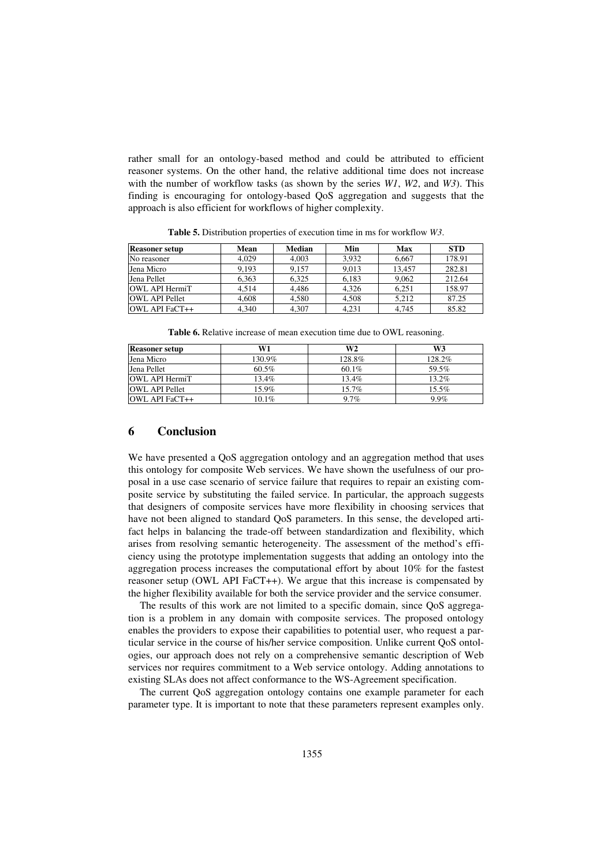rather small for an ontology-based method and could be attributed to efficient reasoner systems. On the other hand, the relative additional time does not increase with the number of workflow tasks (as shown by the series *W1*, *W2*, and *W3*). This finding is encouraging for ontology-based QoS aggregation and suggests that the approach is also efficient for workflows of higher complexity.

| <b>Reasoner setup</b> | Mean  | <b>Median</b> | Min   | Max    | <b>STD</b> |
|-----------------------|-------|---------------|-------|--------|------------|
| No reasoner           | 4.029 | 4,003         | 3,932 | 6,667  | 178.91     |
| Jena Micro            | 9,193 | 9,157         | 9.013 | 13.457 | 282.81     |
| Jena Pellet           | 6.363 | 6.325         | 6.183 | 9,062  | 212.64     |
| <b>OWL API HermiT</b> | 4.514 | 4.486         | 4.326 | 6.251  | 158.97     |
| <b>OWL API Pellet</b> | 4.608 | 4,580         | 4.508 | 5.212  | 87.25      |
| OWL API FaCT++        | 4.340 | 4.307         | 4.231 | 4.745  | 85.82      |

**Table 5.** Distribution properties of execution time in ms for workflow *W3*.

**Table 6.** Relative increase of mean execution time due to OWL reasoning.

| <b>Reasoner setup</b> | W1     | W <sub>2</sub> | W3       |
|-----------------------|--------|----------------|----------|
| Jena Micro            | 130.9% | 128.8%         | 128.2%   |
| Jena Pellet           | 60.5%  | $60.1\%$       | 59.5%    |
| <b>OWL API HermiT</b> | 13.4%  | 13.4%          | $13.2\%$ |
| <b>OWL API Pellet</b> | 15.9%  | 15.7%          | 15.5%    |
| OWL API FaCT++        | 10.1%  | 9.7%           | 9.9%     |

#### **6 Conclusion**

We have presented a QoS aggregation ontology and an aggregation method that uses this ontology for composite Web services. We have shown the usefulness of our proposal in a use case scenario of service failure that requires to repair an existing composite service by substituting the failed service. In particular, the approach suggests that designers of composite services have more flexibility in choosing services that have not been aligned to standard QoS parameters. In this sense, the developed artifact helps in balancing the trade-off between standardization and flexibility, which arises from resolving semantic heterogeneity. The assessment of the method's efficiency using the prototype implementation suggests that adding an ontology into the aggregation process increases the computational effort by about 10% for the fastest reasoner setup (OWL API FaCT++). We argue that this increase is compensated by the higher flexibility available for both the service provider and the service consumer.

The results of this work are not limited to a specific domain, since QoS aggregation is a problem in any domain with composite services. The proposed ontology enables the providers to expose their capabilities to potential user, who request a particular service in the course of his/her service composition. Unlike current QoS ontologies, our approach does not rely on a comprehensive semantic description of Web services nor requires commitment to a Web service ontology. Adding annotations to existing SLAs does not affect conformance to the WS-Agreement specification.

The current QoS aggregation ontology contains one example parameter for each parameter type. It is important to note that these parameters represent examples only.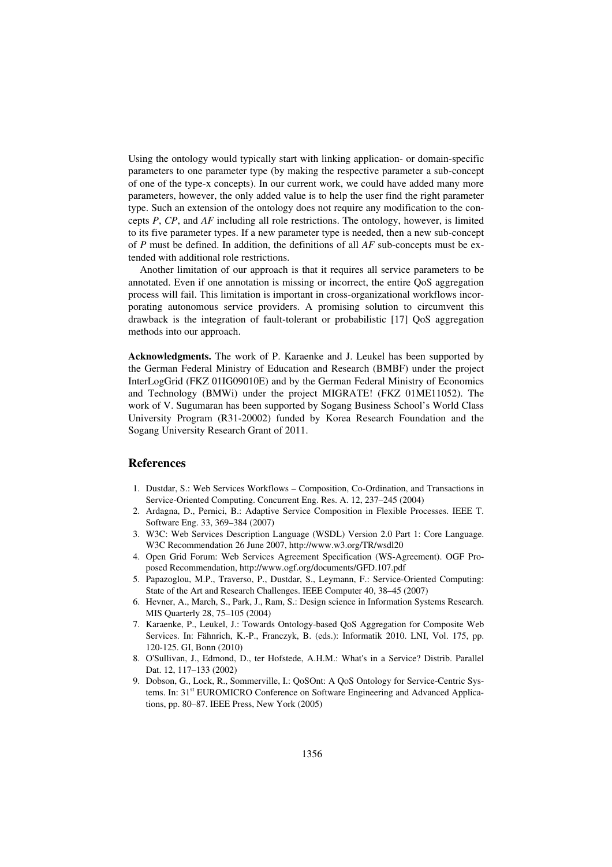Using the ontology would typically start with linking application- or domain-specific parameters to one parameter type (by making the respective parameter a sub-concept of one of the type-x concepts). In our current work, we could have added many more parameters, however, the only added value is to help the user find the right parameter type. Such an extension of the ontology does not require any modification to the concepts *P*, *CP*, and *AF* including all role restrictions. The ontology, however, is limited to its five parameter types. If a new parameter type is needed, then a new sub-concept of *P* must be defined. In addition, the definitions of all *AF* sub-concepts must be extended with additional role restrictions.

Another limitation of our approach is that it requires all service parameters to be annotated. Even if one annotation is missing or incorrect, the entire QoS aggregation process will fail. This limitation is important in cross-organizational workflows incorporating autonomous service providers. A promising solution to circumvent this drawback is the integration of fault-tolerant or probabilistic [17] QoS aggregation methods into our approach.

**Acknowledgments.** The work of P. Karaenke and J. Leukel has been supported by the German Federal Ministry of Education and Research (BMBF) under the project InterLogGrid (FKZ 01IG09010E) and by the German Federal Ministry of Economics and Technology (BMWi) under the project MIGRATE! (FKZ 01ME11052). The work of V. Sugumaran has been supported by Sogang Business School's World Class University Program (R31-20002) funded by Korea Research Foundation and the Sogang University Research Grant of 2011.

### **References**

- 1. Dustdar, S.: Web Services Workflows Composition, Co-Ordination, and Transactions in Service-Oriented Computing. Concurrent Eng. Res. A. 12, 237–245 (2004)
- 2. Ardagna, D., Pernici, B.: Adaptive Service Composition in Flexible Processes. IEEE T. Software Eng. 33, 369–384 (2007)
- 3. W3C: Web Services Description Language (WSDL) Version 2.0 Part 1: Core Language. W3C Recommendation 26 June 2007, http://www.w3.org/TR/wsdl20
- 4. Open Grid Forum: Web Services Agreement Specification (WS-Agreement). OGF Proposed Recommendation, http://www.ogf.org/documents/GFD.107.pdf
- 5. Papazoglou, M.P., Traverso, P., Dustdar, S., Leymann, F.: Service-Oriented Computing: State of the Art and Research Challenges. IEEE Computer 40, 38–45 (2007)
- 6. Hevner, A., March, S., Park, J., Ram, S.: Design science in Information Systems Research. MIS Quarterly 28, 75–105 (2004)
- 7. Karaenke, P., Leukel, J.: Towards Ontology-based QoS Aggregation for Composite Web Services. In: Fähnrich, K.-P., Franczyk, B. (eds.): Informatik 2010. LNI, Vol. 175, pp. 120-125. GI, Bonn (2010)
- 8. O'Sullivan, J., Edmond, D., ter Hofstede, A.H.M.: What's in a Service? Distrib. Parallel Dat. 12, 117–133 (2002)
- 9. Dobson, G., Lock, R., Sommerville, I.: QoSOnt: A QoS Ontology for Service-Centric Systems. In: 31<sup>st</sup> EUROMICRO Conference on Software Engineering and Advanced Applications, pp. 80–87. IEEE Press, New York (2005)